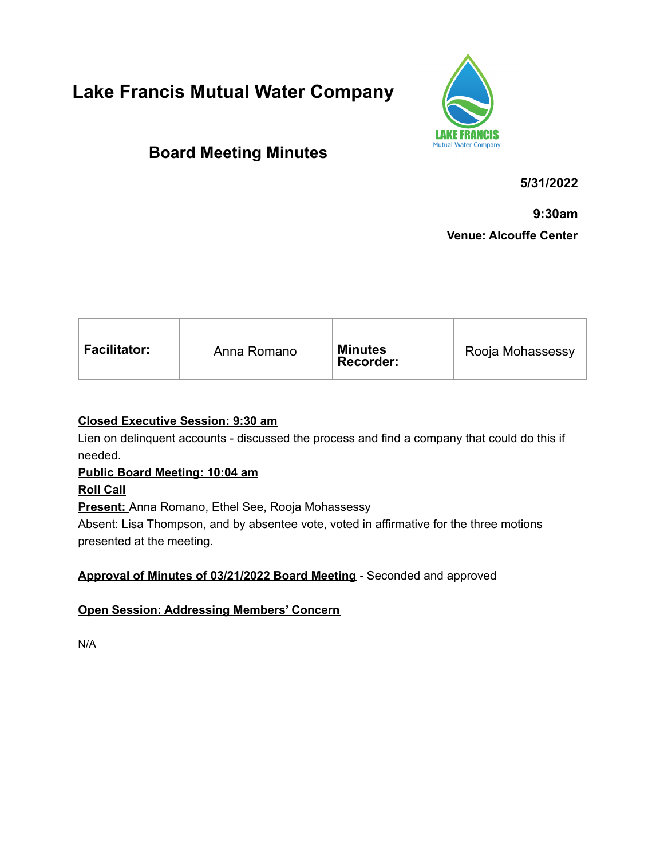# **Lake Francis Mutual Water Company**



## **Board Meeting Minutes**

**5/31/2022**

**9:30am**

**Venue: Alcouffe Center**

| <b>Facilitator:</b><br>Anna Romano | <b>Minutes</b><br><b>Recorder:</b> | Rooja Mohassessy |
|------------------------------------|------------------------------------|------------------|
|------------------------------------|------------------------------------|------------------|

## **Closed Executive Session: 9:30 am**

Lien on delinquent accounts - discussed the process and find a company that could do this if needed.

## **Public Board Meeting: 10:04 am**

## **Roll Call**

**Present:** Anna Romano, Ethel See, Rooja Mohassessy

Absent: Lisa Thompson, and by absentee vote, voted in affirmative for the three motions presented at the meeting.

## **Approval of Minutes of 03/21/2022 Board Meeting -** Seconded and approved

## **Open Session: Addressing Members' Concern**

N/A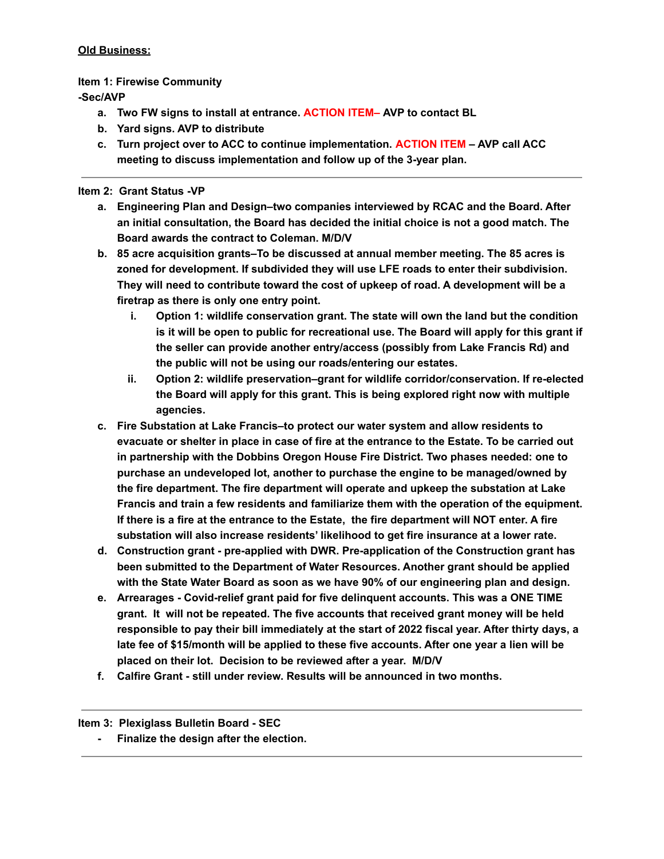#### **Old Business:**

#### **Item 1: Firewise Community**

**-Sec/AVP**

- **a. Two FW signs to install at entrance. ACTION ITEM– AVP to contact BL**
- **b. Yard signs. AVP to distribute**
- **c. Turn project over to ACC to continue implementation. ACTION ITEM – AVP call ACC meeting to discuss implementation and follow up of the 3-year plan.**

#### **Item 2: Grant Status -VP**

- **a. Engineering Plan and Design–two companies interviewed by RCAC and the Board. After an initial consultation, the Board has decided the initial choice is not a good match. The Board awards the contract to Coleman. M/D/V**
- **b. 85 acre acquisition grants–To be discussed at annual member meeting. The 85 acres is zoned for development. If subdivided they will use LFE roads to enter their subdivision. They will need to contribute toward the cost of upkeep of road. A development will be a firetrap as there is only one entry point.**
	- **i. Option 1: wildlife conservation grant. The state will own the land but the condition is it will be open to public for recreational use. The Board will apply for this grant if the seller can provide another entry/access (possibly from Lake Francis Rd) and the public will not be using our roads/entering our estates.**
	- **ii. Option 2: wildlife preservation–grant for wildlife corridor/conservation. If re-elected the Board will apply for this grant. This is being explored right now with multiple agencies.**
- **c. Fire Substation at Lake Francis–to protect our water system and allow residents to** evacuate or shelter in place in case of fire at the entrance to the Estate. To be carried out **in partnership with the Dobbins Oregon House Fire District. Two phases needed: one to purchase an undeveloped lot, another to purchase the engine to be managed/owned by the fire department. The fire department will operate and upkeep the substation at Lake Francis and train a few residents and familiarize them with the operation of the equipment.** If there is a fire at the entrance to the Estate, the fire department will NOT enter. A fire **substation will also increase residents' likelihood to get fire insurance at a lower rate.**
- **d. Construction grant - pre-applied with DWR. Pre-application of the Construction grant has been submitted to the Department of Water Resources. Another grant should be applied with the State Water Board as soon as we have 90% of our engineering plan and design.**
- **e. Arrearages - Covid-relief grant paid for five delinquent accounts. This was a ONE TIME grant. It will not be repeated. The five accounts that received grant money will be held responsible to pay their bill immediately at the start of 2022 fiscal year. After thirty days, a late fee of \$15/month will be applied to these five accounts. After one year a lien will be placed on their lot. Decision to be reviewed after a year. M/D/V**
- **f. Calfire Grant - still under review. Results will be announced in two months.**

#### **Item 3: Plexiglass Bulletin Board - SEC**

**- Finalize the design after the election.**